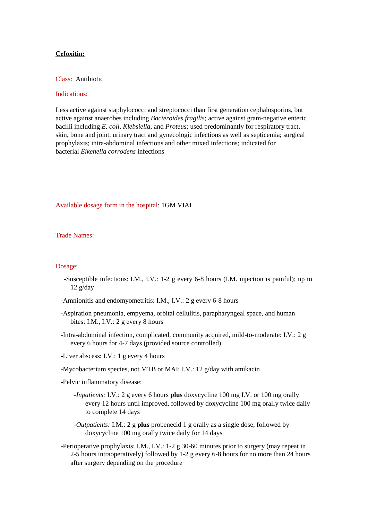## **Cefoxitin:**

Class: Antibiotic

## Indications:

Less active against staphylococci and streptococci than first generation cephalosporins, but active against anaerobes including *Bacteroides fragilis*; active against gram-negative enteric bacilli including *E. coli*, *Klebsiella*, and *Proteus*; used predominantly for respiratory tract, skin, bone and joint, urinary tract and gynecologic infections as well as septicemia; surgical prophylaxis; intra-abdominal infections and other mixed infections; indicated for bacterial *Eikenella corrodens* infections

Available dosage form in the hospital: 1GM VIAL

Trade Names:

## Dosage:

- -Susceptible infections: I.M., I.V.: 1-2 g every 6-8 hours (I.M. injection is painful); up to 12 g/day
- -Amnionitis and endomyometritis: I.M., I.V.: 2 g every 6-8 hours
- -Aspiration pneumonia, empyema, orbital cellulitis, parapharyngeal space, and human bites: I.M., I.V.: 2 g every 8 hours
- -Intra-abdominal infection, complicated, community acquired, mild-to-moderate: I.V.: 2 g every 6 hours for 4-7 days (provided source controlled)
- -Liver abscess: I.V.: 1 g every 4 hours
- -Mycobacterium species, not MTB or MAI: I.V.: 12 g/day with amikacin
- -Pelvic inflammatory disease:
	- *-Inpatients:* I.V.: 2 g every 6 hours **plus** doxycycline 100 mg I.V. or 100 mg orally every 12 hours until improved, followed by doxycycline 100 mg orally twice daily to complete 14 days
	- *-Outpatients:* I.M.: 2 g **plus** probenecid 1 g orally as a single dose, followed by doxycycline 100 mg orally twice daily for 14 days
- -Perioperative prophylaxis: I.M., I.V.: 1-2 g 30-60 minutes prior to surgery (may repeat in 2-5 hours intraoperatively) followed by 1-2 g every 6-8 hours for no more than 24 hours after surgery depending on the procedure